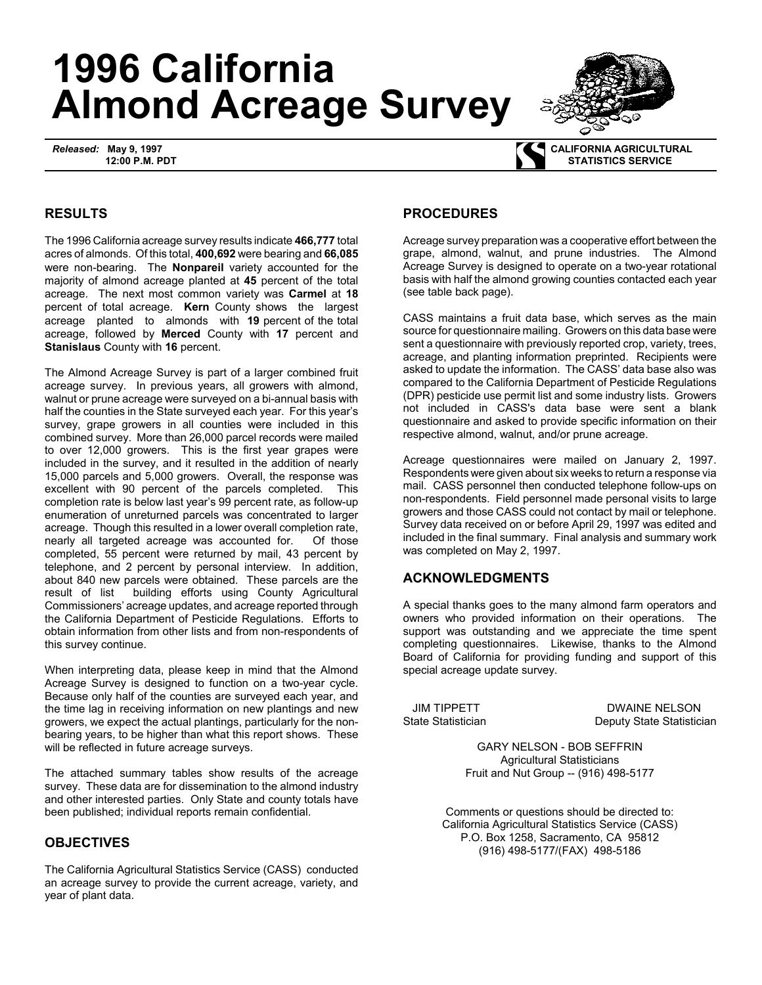# **1996 California Almond Acreage Survey**

*Released:* **May 9, 1997 12:00 P.M. PDT**



 **CALIFORNIA AGRICULTURAL STATISTICS SERVICE**

## **RESULTS**

The 1996 California acreage survey results indicate **466,777** total acres of almonds. Of this total, **400,692** were bearing and **66,085** were non-bearing. The **Nonpareil** variety accounted for the majority of almond acreage planted at **45** percent of the total acreage. The next most common variety was **Carmel** at **18** percent of total acreage. **Kern** County shows the largest acreage planted to almonds with **19** percent of the total acreage, followed by **Merced** County with **17** percent and **Stanislaus** County with **16** percent.

The Almond Acreage Survey is part of a larger combined fruit acreage survey. In previous years, all growers with almond, walnut or prune acreage were surveyed on a bi-annual basis with half the counties in the State surveyed each year. For this year's survey, grape growers in all counties were included in this combined survey. More than 26,000 parcel records were mailed to over 12,000 growers. This is the first year grapes were included in the survey, and it resulted in the addition of nearly 15,000 parcels and 5,000 growers. Overall, the response was excellent with 90 percent of the parcels completed. This completion rate is below last year's 99 percent rate, as follow-up enumeration of unreturned parcels was concentrated to larger acreage. Though this resulted in a lower overall completion rate, nearly all targeted acreage was accounted for. Of those completed, 55 percent were returned by mail, 43 percent by telephone, and 2 percent by personal interview. In addition, about 840 new parcels were obtained. These parcels are the result of list building efforts using County Agricultural Commissioners' acreage updates, and acreage reported through the California Department of Pesticide Regulations. Efforts to obtain information from other lists and from non-respondents of this survey continue.

When interpreting data, please keep in mind that the Almond Acreage Survey is designed to function on a two-year cycle. Because only half of the counties are surveyed each year, and the time lag in receiving information on new plantings and new growers, we expect the actual plantings, particularly for the nonbearing years, to be higher than what this report shows. These will be reflected in future acreage surveys.

The attached summary tables show results of the acreage survey. These data are for dissemination to the almond industry and other interested parties. Only State and county totals have been published; individual reports remain confidential.

### **OBJECTIVES**

The California Agricultural Statistics Service (CASS) conducted an acreage survey to provide the current acreage, variety, and year of plant data.

#### **PROCEDURES**

Acreage survey preparation was a cooperative effort between the grape, almond, walnut, and prune industries. The Almond Acreage Survey is designed to operate on a two-year rotational basis with half the almond growing counties contacted each year (see table back page).

CASS maintains a fruit data base, which serves as the main source for questionnaire mailing. Growers on this data base were sent a questionnaire with previously reported crop, variety, trees, acreage, and planting information preprinted. Recipients were asked to update the information. The CASS' data base also was compared to the California Department of Pesticide Regulations (DPR) pesticide use permit list and some industry lists. Growers not included in CASS's data base were sent a blank questionnaire and asked to provide specific information on their respective almond, walnut, and/or prune acreage.

Acreage questionnaires were mailed on January 2, 1997. Respondents were given about six weeks to return a response via mail. CASS personnel then conducted telephone follow-ups on non-respondents. Field personnel made personal visits to large growers and those CASS could not contact by mail or telephone. Survey data received on or before April 29, 1997 was edited and included in the final summary. Final analysis and summary work was completed on May 2, 1997.

### **ACKNOWLEDGMENTS**

A special thanks goes to the many almond farm operators and owners who provided information on their operations. The support was outstanding and we appreciate the time spent completing questionnaires. Likewise, thanks to the Almond Board of California for providing funding and support of this special acreage update survey.

JIM TIPPETT DWAINE NELSON State Statistician Deputy State Statistician

> GARY NELSON - BOB SEFFRIN Agricultural Statisticians Fruit and Nut Group -- (916) 498-5177

Comments or questions should be directed to: California Agricultural Statistics Service (CASS) P.O. Box 1258, Sacramento, CA 95812 (916) 498-5177/(FAX) 498-5186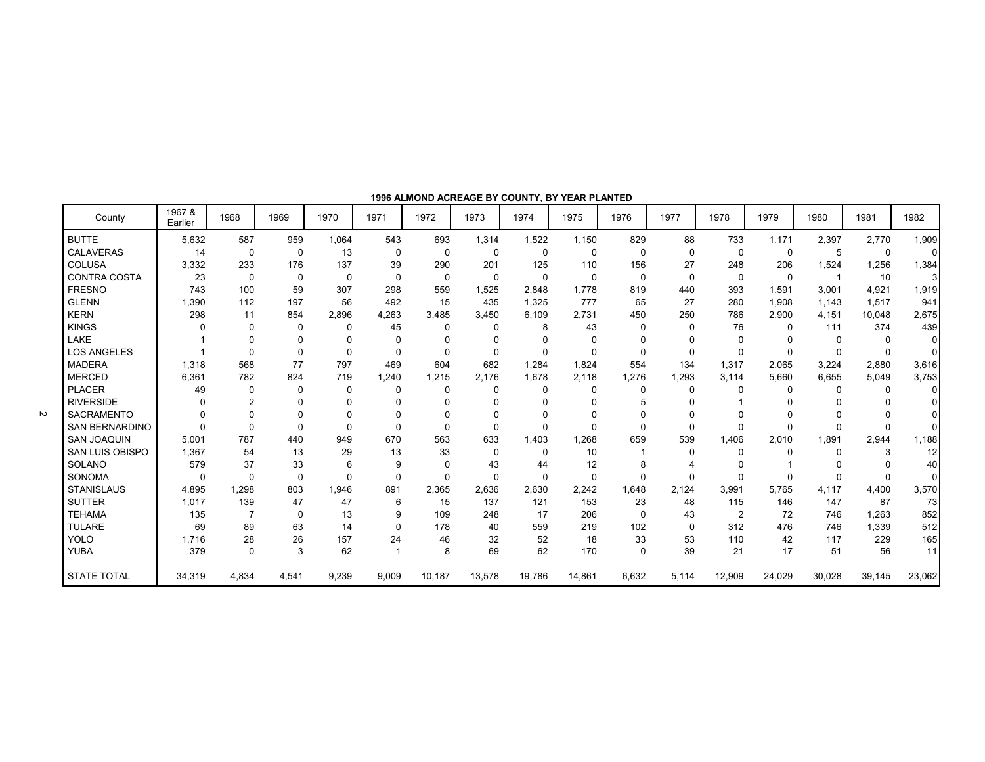|                        |                   |                |             |             |                |             | 1990 ALIWOND ACKEAGE BT COUNTIT, BT TEAK FLANTED |          |          |              |              |                |          |        |              |                |
|------------------------|-------------------|----------------|-------------|-------------|----------------|-------------|--------------------------------------------------|----------|----------|--------------|--------------|----------------|----------|--------|--------------|----------------|
| County                 | 1967 &<br>Earlier | 1968           | 1969        | 1970        | 1971           | 1972        | 1973                                             | 1974     | 1975     | 1976         | 1977         | 1978           | 1979     | 1980   | 1981         | 1982           |
| <b>BUTTE</b>           | 5,632             | 587            | 959         | 1,064       | 543            | 693         | 1,314                                            | 1,522    | 1,150    | 829          | 88           | 733            | 1,171    | 2,397  | 2,770        | 1,909          |
| <b>CALAVERAS</b>       | 14                | 0              | 0           | 13          | $\mathbf 0$    | $\mathbf 0$ | $\mathbf{0}$                                     | 0        | $\Omega$ | $\Omega$     | $\mathbf{0}$ | $\Omega$       | $\Omega$ | 5      | 0            | $\overline{0}$ |
| <b>COLUSA</b>          | 3,332             | 233            | 176         | 137         | 39             | 290         | 201                                              | 125      | 110      | 156          | 27           | 248            | 206      | 1,524  | 1,256        | 1,384          |
| <b>CONTRA COSTA</b>    | 23                | $\Omega$       | $\Omega$    | 0           | $\Omega$       | 0           | $\Omega$                                         | $\Omega$ | $\Omega$ | $\Omega$     | $\Omega$     | $\Omega$       | $\Omega$ |        | 10           | 3              |
| <b>FRESNO</b>          | 743               | 100            | 59          | 307         | 298            | 559         | 1,525                                            | 2,848    | 1,778    | 819          | 440          | 393            | 1,591    | 3,001  | 4,921        | 1,919          |
| <b>GLENN</b>           | 1.390             | 112            | 197         | 56          | 492            | 15          | 435                                              | 1,325    | 777      | 65           | 27           | 280            | 1.908    | 1.143  | 1,517        | 941            |
| <b>KERN</b>            | 298               | 11             | 854         | 2.896       | 4.263          | 3.485       | 3.450                                            | 6.109    | 2.731    | 450          | 250          | 786            | 2.900    | 4.151  | 10.048       | 2,675          |
| <b>KINGS</b>           |                   | 0              | 0           | 0           | 45             | $\Omega$    | $\Omega$                                         | 8        | 43       | $\Omega$     | $\mathbf{0}$ | 76             | $\Omega$ | 111    | 374          | 439            |
| LAKE                   |                   | $\Omega$       | $\Omega$    | O           | 0              | $\Omega$    | O                                                | $\Omega$ | $\Omega$ |              |              | $\Omega$       |          | 0      | 0            | $\overline{0}$ |
| <b>LOS ANGELES</b>     |                   | $\Omega$       | $\Omega$    | $\mathbf 0$ | $\Omega$       | $\Omega$    |                                                  | 0        | $\Omega$ |              | $\Omega$     | $\Omega$       | $\Omega$ | 0      | $\Omega$     | $\Omega$       |
| <b>MADERA</b>          | 1,318             | 568            | 77          | 797         | 469            | 604         | 682                                              | 1,284    | 1.824    | 554          | 134          | 1.317          | 2,065    | 3,224  | 2,880        | 3,616          |
| <b>MERCED</b>          | 6.361             | 782            | 824         | 719         | 1.240          | 1.215       | 2.176                                            | 1,678    | 2.118    | 1,276        | 1.293        | 3.114          | 5.660    | 6.655  | 5.049        | 3,753          |
| <b>PLACER</b>          | 49                | $\Omega$       | $\Omega$    | 0           | 0              | $\Omega$    | $\Omega$                                         | $\Omega$ | $\Omega$ | $\mathbf{0}$ | 0            | $\Omega$       | $\Omega$ | 0      | 0            | $\Omega$       |
| <b>RIVERSIDE</b>       | O                 | $\overline{2}$ | $\Omega$    | $\Omega$    | $\Omega$       | $\Omega$    | ŋ                                                | 0        | $\Omega$ |              |              |                |          |        | $\mathbf{0}$ | $\Omega$       |
| <b>SACRAMENTO</b>      |                   | $\Omega$       | $\Omega$    | $\Omega$    | 0              | $\Omega$    |                                                  | ŋ        | $\Omega$ |              |              |                |          |        | $\Omega$     | $\Omega$       |
| <b>SAN BERNARDINO</b>  | $\Omega$          | $\Omega$       | $\Omega$    | $\Omega$    | $\Omega$       | $\Omega$    | $\Omega$                                         | 0        | $\Omega$ |              | $\mathbf{0}$ | $\Omega$       | $\Omega$ | 0      | $\Omega$     | $\Omega$       |
| <b>SAN JOAQUIN</b>     | 5,001             | 787            | 440         | 949         | 670            | 563         | 633                                              | 1.403    | 1.268    | 659          | 539          | 1.406          | 2.010    | 1.891  | 2,944        | 1,188          |
| <b>SAN LUIS OBISPO</b> | 1.367             | 54             | 13          | 29          | 13             | 33          | $\Omega$                                         | $\Omega$ | 10       |              | $\Omega$     | $\Omega$       |          | 0      | 3            | 12             |
| <b>SOLANO</b>          | 579               | 37             | 33          | 6           | 9              | $\Omega$    | 43                                               | 44       | 12       |              |              | $\Omega$       |          |        | $\Omega$     | 40             |
| SONOMA                 | $\Omega$          | $\Omega$       | $\mathbf 0$ | $\mathbf 0$ | $\mathbf 0$    | 0           | $\Omega$                                         | $\Omega$ | $\Omega$ |              | ŋ            | $\Omega$       |          | U      | $\Omega$     | $\Omega$       |
| <b>STANISLAUS</b>      | 4,895             | 1,298          | 803         | 1,946       | 891            | 2,365       | 2,636                                            | 2,630    | 2,242    | 1,648        | 2,124        | 3,991          | 5.765    | 4.117  | 4,400        | 3,570          |
| <b>SUTTER</b>          | 1,017             | 139            | 47          | 47          | 6              | 15          | 137                                              | 121      | 153      | 23           | 48           | 115            | 146      | 147    | 87           | 73             |
| <b>TEHAMA</b>          | 135               |                | 0           | 13          | 9              | 109         | 248                                              | 17       | 206      | $\Omega$     | 43           | $\overline{2}$ | 72       | 746    | 1,263        | 852            |
| <b>TULARE</b>          | 69                | 89             | 63          | 14          | $\Omega$       | 178         | 40                                               | 559      | 219      | 102          | 0            | 312            | 476      | 746    | 1,339        | 512            |
| <b>YOLO</b>            | 1,716             | 28             | 26          | 157         | 24             | 46          | 32                                               | 52       | 18       | 33           | 53           | 110            | 42       | 117    | 229          | 165            |
| YUBA                   | 379               | $\Omega$       | 3           | 62          | $\overline{1}$ | 8           | 69                                               | 62       | 170      | $\Omega$     | 39           | 21             | 17       | 51     | 56           | 11             |
|                        |                   |                |             |             |                |             |                                                  |          |          |              |              |                |          |        |              |                |
| <b>STATE TOTAL</b>     | 34,319            | 4,834          | 4,541       | 9,239       | 9,009          | 10,187      | 13,578                                           | 19,786   | 14,861   | 6,632        | 5,114        | 12,909         | 24,029   | 30,028 | 39,145       | 23,062         |

**1996 ALMOND ACREAGE BY COUNTY, BY YEAR PLANTED**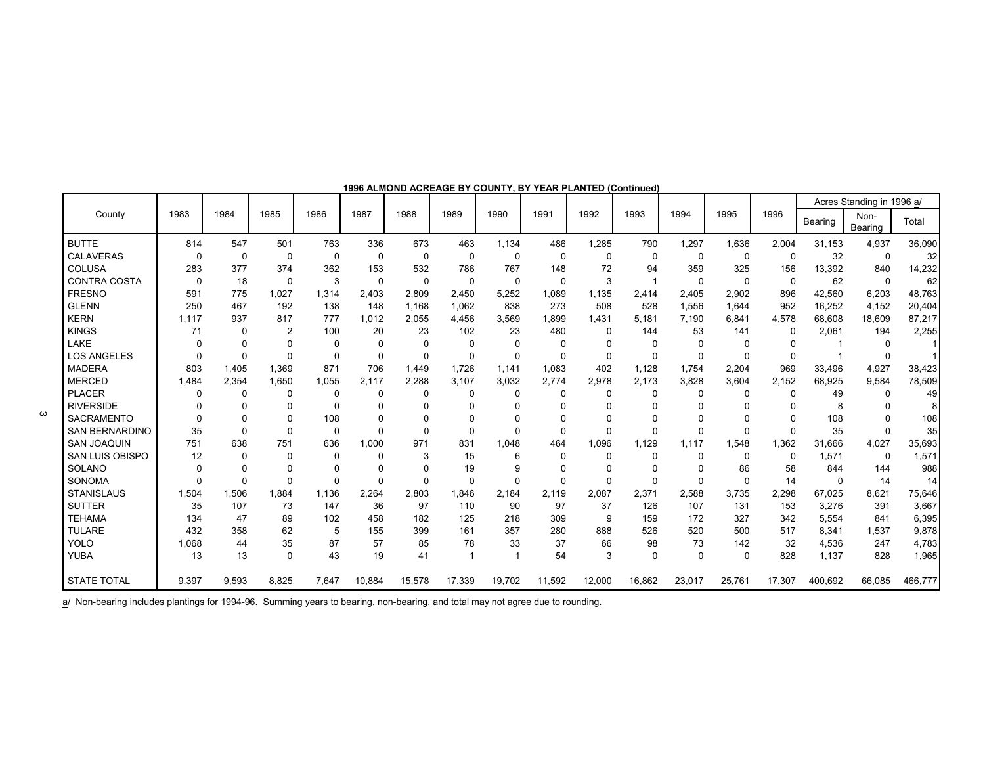|                       |          |          |                |          |          |          |                |                |          |          |             |              |          |          |          | Acres Standing in 1996 a/ |         |
|-----------------------|----------|----------|----------------|----------|----------|----------|----------------|----------------|----------|----------|-------------|--------------|----------|----------|----------|---------------------------|---------|
| County                | 1983     | 1984     | 1985           | 1986     | 1987     | 1988     | 1989           | 1990           | 1991     | 1992     | 1993        | 1994         | 1995     | 1996     | Bearing  | Non-<br>Bearing           | Total   |
| <b>BUTTE</b>          | 814      | 547      | 501            | 763      | 336      | 673      | 463            | 1,134          | 486      | 1,285    | 790         | 1,297        | 1,636    | 2,004    | 31,153   | 4,937                     | 36,090  |
| <b>CALAVERAS</b>      | $\Omega$ | 0        | 0              | 0        | $\Omega$ | 0        | $\Omega$       | 0              | $\Omega$ | 0        | 0           | $\Omega$     | 0        | 0        | 32       | 0                         | 32      |
| COLUSA                | 283      | 377      | 374            | 362      | 153      | 532      | 786            | 767            | 148      | 72       | 94          | 359          | 325      | 156      | 13,392   | 840                       | 14,232  |
| <b>CONTRA COSTA</b>   | $\Omega$ | 18       | $\Omega$       | 3        | $\Omega$ | 0        | $\Omega$       | 0              | $\Omega$ | 3        |             | 0            | 0        | 0        | 62       | 0                         | 62      |
| <b>FRESNO</b>         | 591      | 775      | 1,027          | 1,314    | 2,403    | 2,809    | 2,450          | 5,252          | 1,089    | 1,135    | 2,414       | 2,405        | 2,902    | 896      | 42,560   | 6,203                     | 48,763  |
| <b>GLENN</b>          | 250      | 467      | 192            | 138      | 148      | 1,168    | 1,062          | 838            | 273      | 508      | 528         | 1,556        | 1,644    | 952      | 16,252   | 4,152                     | 20,404  |
| <b>KERN</b>           | 1,117    | 937      | 817            | 777      | 1,012    | 2,055    | 4,456          | 3,569          | 1,899    | 1,431    | 5.181       | 7.190        | 6,841    | 4,578    | 68,608   | 18,609                    | 87,217  |
| <b>KINGS</b>          | 71       | 0        | $\overline{2}$ | 100      | 20       | 23       | 102            | 23             | 480      | 0        | 144         | 53           | 141      | $\Omega$ | 2,061    | 194                       | 2,255   |
| LAKE                  | $\Omega$ | 0        |                | O        | $\Omega$ | $\Omega$ | O              | $\Omega$       | $\Omega$ | 0        | $\Omega$    | $\Omega$     | $\Omega$ | 0        |          | $\Omega$                  |         |
| <b>LOS ANGELES</b>    |          | $\Omega$ | $\Omega$       | $\Omega$ | $\Omega$ | 0        | 0              | $\Omega$       | $\Omega$ | 0        | $\Omega$    | $\Omega$     | 0        | $\Omega$ |          | $\Omega$                  |         |
| <b>MADERA</b>         | 803      | 1,405    | 1,369          | 871      | 706      | 1,449    | 1,726          | 1.141          | 1,083    | 402      | 1.128       | 1,754        | 2,204    | 969      | 33,496   | 4,927                     | 38,423  |
| <b>MERCED</b>         | 1.484    | 2,354    | 1,650          | 1.055    | 2.117    | 2,288    | 3,107          | 3,032          | 2.774    | 2,978    | 2.173       | 3.828        | 3,604    | 2.152    | 68.925   | 9.584                     | 78,509  |
| <b>PLACER</b>         | n        | 0        | $\Omega$       | O        | $\Omega$ | 0        | <sup>0</sup>   | $\Omega$       | $\Omega$ | 0        | $\Omega$    | $\Omega$     | $\Omega$ | 0        | 49       | $\Omega$                  | 49      |
| <b>RIVERSIDE</b>      |          |          |                | O        | O        | O        |                | 0              |          | 0        | 0           | n            | U        | $\Omega$ | 8        | $\Omega$                  |         |
| <b>SACRAMENTO</b>     |          |          |                | 108      | $\Omega$ | O        |                | 0              |          |          |             |              |          | $\Omega$ | 108      |                           | 108     |
| <b>SAN BERNARDINO</b> | 35       | $\Omega$ | $\Omega$       | $\Omega$ | $\Omega$ | 0        | $\Omega$       | $\Omega$       | $\Omega$ | U        | $\Omega$    | $\Omega$     | 0        | $\Omega$ | 35       | $\Omega$                  | 35      |
| <b>SAN JOAQUIN</b>    | 751      | 638      | 751            | 636      | 1.000    | 971      | 831            | 1.048          | 464      | 1.096    | 1.129       | 1,117        | 1,548    | 1.362    | 31.666   | 4.027                     | 35,693  |
| SAN LUIS OBISPO       | 12       | 0        |                | O        | $\Omega$ | 3        | 15             | 6              | $\Omega$ | 0        | $\Omega$    | $\mathbf{0}$ | 0        | 0        | 1.571    | 0                         | 1,571   |
| <b>SOLANO</b>         |          | 0        |                |          | $\Omega$ | 0        | 19             | 9              | $\Omega$ | 0        | $\Omega$    | $\Omega$     | 86       | 58       | 844      | 144                       | 988     |
| SONOMA                |          | $\Omega$ | $\Omega$       | $\Omega$ | $\Omega$ | $\Omega$ | $\Omega$       | $\Omega$       | $\Omega$ | $\Omega$ | $\Omega$    | $\Omega$     | 0        | 14       | $\Omega$ | 14                        | 14      |
| <b>STANISLAUS</b>     | 1,504    | 1,506    | 1,884          | 1,136    | 2,264    | 2,803    | 1,846          | 2.184          | 2,119    | 2,087    | 2,371       | 2,588        | 3,735    | 2,298    | 67,025   | 8,621                     | 75,646  |
| <b>SUTTER</b>         | 35       | 107      | 73             | 147      | 36       | 97       | 110            | 90             | 97       | 37       | 126         | 107          | 131      | 153      | 3,276    | 391                       | 3,667   |
| <b>TEHAMA</b>         | 134      | 47       | 89             | 102      | 458      | 182      | 125            | 218            | 309      | 9        | 159         | 172          | 327      | 342      | 5,554    | 841                       | 6,395   |
| <b>TULARE</b>         | 432      | 358      | 62             | 5        | 155      | 399      | 161            | 357            | 280      | 888      | 526         | 520          | 500      | 517      | 8,341    | 1,537                     | 9,878   |
| YOLO                  | 1.068    | 44       | 35             | 87       | 57       | 85       | 78             | 33             | 37       | 66       | 98          | 73           | 142      | 32       | 4,536    | 247                       | 4,783   |
| YUBA                  | 13       | 13       | $\Omega$       | 43       | 19       | 41       | $\overline{1}$ | $\overline{1}$ | 54       | 3        | $\mathbf 0$ | $\Omega$     | $\Omega$ | 828      | 1,137    | 828                       | 1,965   |
| <b>STATE TOTAL</b>    | 9,397    | 9,593    | 8,825          | 7,647    | 10,884   | 15,578   | 17,339         | 19,702         | 11,592   | 12,000   | 16,862      | 23,017       | 25,761   | 17,307   | 400,692  | 66,085                    | 466,777 |

#### **1996 ALMOND ACREAGE BY COUNTY, BY YEAR PLANTED (Continued)**

a<sup>/</sup> Non-bearing includes plantings for 1994-96. Summing years to bearing, non-bearing, and total may not agree due to rounding.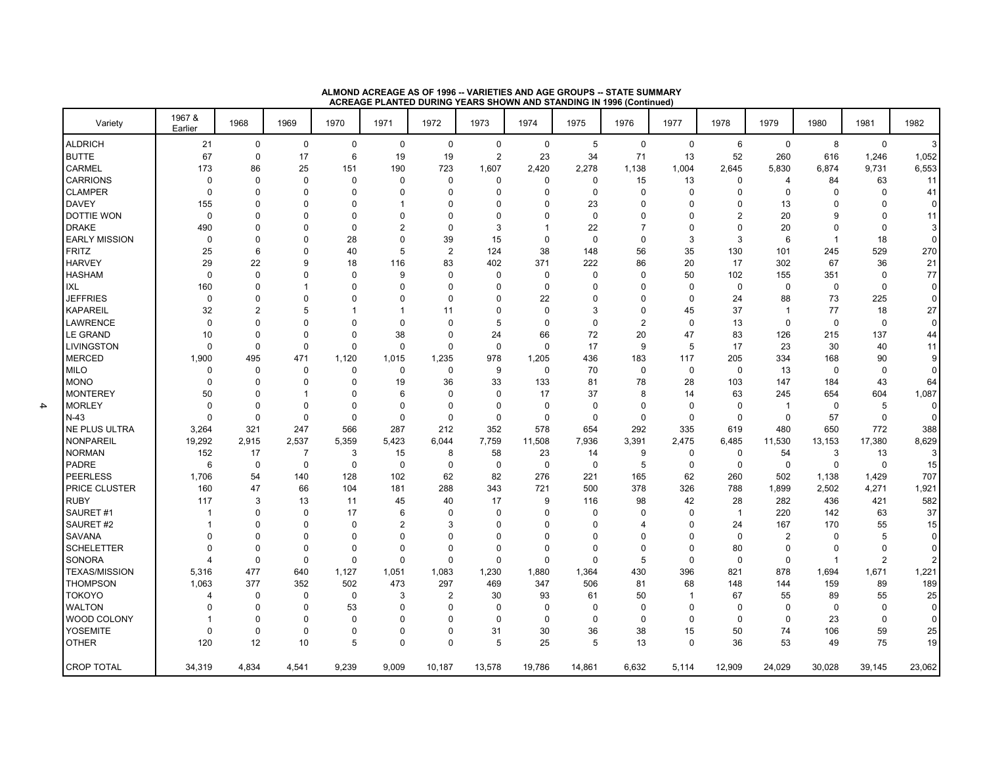| Variety                 | 1967 &<br>Earlier | 1968             | 1969              | 1970        | 1971           | 1972                    | 1973           | 1974        | 1975            | 1976           | 1977              | 1978                 | 1979           | 1980           | 1981        | 1982           |
|-------------------------|-------------------|------------------|-------------------|-------------|----------------|-------------------------|----------------|-------------|-----------------|----------------|-------------------|----------------------|----------------|----------------|-------------|----------------|
| <b>ALDRICH</b>          | 21                | $\mathbf 0$      | $\mathbf 0$       | $\mathbf 0$ | $\mathbf 0$    | $\mathbf 0$             | $\mathbf 0$    | $\mathbf 0$ | 5               | $\mathbf 0$    | $\mathsf 0$       | 6                    | $\mathbf 0$    | 8              | $\mathbf 0$ | $\mathbf{3}$   |
| <b>BUTTE</b>            | 67                | $\mathbf 0$      | 17                | 6           | 19             | 19                      | $\overline{2}$ | 23          | 34              | 71             | 13                | 52                   | 260            | 616            | 1,246       | 1,052          |
| <b>CARMEL</b>           | 173               | 86               | 25                | 151         | 190            | 723                     | 1,607          | 2,420       | 2,278           | 1,138          | 1,004             | 2,645                | 5,830          | 6,874          | 9,731       | 6,553          |
| <b>CARRIONS</b>         | 0                 | 0                | 0                 | 0           | 0              | 0                       | 0              | 0           | 0               | 15             | 13                | 0                    | 4              | 84             | 63          | 11             |
| <b>CLAMPER</b>          | 0                 | $\mathbf 0$      | $\Omega$          | $\Omega$    | $\Omega$       | $\Omega$                | $\Omega$       | $\Omega$    | $\Omega$        | $\Omega$       | $\mathbf 0$       | $\mathbf 0$          | $\Omega$       | $\Omega$       | 0           | 41             |
| <b>DAVEY</b>            | 155               | $\Omega$         | 0                 | $\Omega$    |                | 0                       | $\Omega$       |             | 23              | 0              | $\Omega$          | 0                    | 13             | 0              | 0           | $\mathbf 0$    |
| <b>DOTTIE WON</b>       | $\mathbf 0$       | $\Omega$         | $\Omega$          | $\Omega$    | $\Omega$       | $\Omega$                | $\Omega$       | O           | $\Omega$        | 0              | $\Omega$          | $\overline{2}$       | 20             | 9              | 0           | 11             |
| <b>DRAKE</b>            | 490               | $\Omega$         | 0                 | $\Omega$    | $\overline{2}$ | 0                       | 3              | -1          | 22              | 7              | $\Omega$          | 0                    | 20             | 0              | 0           | 3              |
| <b>EARLY MISSION</b>    | 0                 | $\Omega$         | $\Omega$          | 28          | $\Omega$       | 39                      | 15             | $\Omega$    | $\mathbf 0$     | $\Omega$       | 3                 | 3                    | 6              | -1             | 18          | 0              |
| <b>FRITZ</b>            | 25                | 6                | $\Omega$          | 40          | 5              | $\overline{\mathbf{c}}$ | 124            | 38          | 148             | 56             | 35                | 130                  | 101            | 245            | 529         | 270            |
| <b>HARVEY</b>           | 29                | 22               | 9                 | 18          | 116            | 83                      | 402            | 371         | 222             | 86             | 20                | 17                   | 302            | 67             | 36          | 21             |
| <b>HASHAM</b>           | 0                 | 0                | $\Omega$          | $\Omega$    | 9              | 0                       | 0              | 0           | $\Omega$        | 0              | 50                | 102                  | 155            | 351            | 0           | $77\,$         |
| IXL                     | 160               | $\Omega$         | 1                 | $\Omega$    | $\Omega$       | 0                       | $\Omega$       | $\Omega$    | $\Omega$        | 0              | $\mathbf 0$       | $\mathbf 0$          | $\mathbf 0$    | 0              | 0           | $\overline{0}$ |
| <b>JEFFRIES</b>         | $\mathbf 0$       | $\Omega$         | $\Omega$          | 0           | $\Omega$       | $\Omega$                | $\Omega$       | 22          | $\Omega$        | 0              | $\mathbf 0$       | 24                   | 88             | 73             | 225         | $\mathbf 0$    |
| <b>KAPAREIL</b>         | 32                | $\overline{2}$   | 5                 |             |                | 11                      | $\Omega$       | $\Omega$    | 3               | 0              | 45                | 37                   | $\mathbf{1}$   | 77             | 18          | 27             |
| <b>LAWRENCE</b>         | $\mathbf 0$       | $\Omega$         | $\Omega$          | 0           | $\Omega$       | $\Omega$                | 5              | $\Omega$    | $\Omega$        | $\overline{2}$ | $\mathbf 0$       | 13                   | $\mathbf 0$    | $\mathbf 0$    | 0           | $\mathbf 0$    |
| <b>LE GRAND</b>         | 10                | $\Omega$         | $\Omega$          | $\Omega$    | 38             | 0                       | 24             | 66          | 72              | 20             | 47                | 83                   | 126            | 215            | 137         | 44             |
| <b>LIVINGSTON</b>       | 0                 | $\mathbf 0$      | $\mathbf 0$       | $\Omega$    | $\mathbf 0$    | 0                       | $\mathbf 0$    | $\mathbf 0$ | 17              | 9              | 5                 | 17                   | 23             | 30             | 40          | 11             |
| <b>MERCED</b>           | 1,900             | 495              | 471               | 1,120       | 1,015          | 1,235                   | 978            | 1,205       | 436             | 183            | 117               | 205                  | 334            | 168            | 90          | 9              |
| <b>MILO</b>             | 0                 | $\Omega$         | $\mathbf 0$       | $\Omega$    | $\mathbf 0$    | 0                       | 9              | $\mathbf 0$ | 70              | $\mathbf 0$    | $\mathbf 0$       | $\mathbf 0$          | 13             | $\mathbf 0$    | 0           | $\overline{0}$ |
| <b>MONO</b>             | $\Omega$          | $\Omega$         | $\Omega$          | $\Omega$    | 19             | 36                      | 33             | 133         | 81              | 78             | 28                | 103                  | 147            | 184            | 43          | 64             |
| <b>MONTEREY</b>         | 50                | $\Omega$         | -1                | 0           | 6              | $\Omega$                | $\Omega$       | 17          | 37              | 8              | 14                | 63                   | 245            | 654            | 604         | 1,087          |
| <b>MORLEY</b>           | $\mathbf 0$       | $\mathbf 0$      | $\Omega$          | $\Omega$    | $\Omega$       | 0                       | $\Omega$       | $\mathbf 0$ | $\Omega$        | $\Omega$       | 0                 | $\mathbf 0$          | $\mathbf 1$    | $\mathbf 0$    | 5           | $\mathbf 0$    |
| $N-43$                  | $\Omega$          | $\mathbf 0$      | $\mathbf 0$       | $\mathbf 0$ | $\mathbf 0$    | 0                       | $\mathbf 0$    | $\mathbf 0$ | $\Omega$        | $\Omega$       | $\mathbf 0$       | $\mathbf 0$          | $\mathbf 0$    | 57             | 0           | $\mathbf 0$    |
| <b>NE PLUS ULTRA</b>    | 3,264             | 321              | 247               | 566         | 287            | 212                     | 352            | 578         | 654             | 292            | 335               | 619                  | 480            | 650            | 772         | 388            |
| <b>NONPAREIL</b>        | 19,292            | 2,915            | 2,537             | 5,359       | 5,423          | 6,044                   | 7,759          | 11,508      | 7,936           | 3,391          | 2,475             | 6,485                | 11,530         | 13,153         | 17,380      | 8,629          |
| <b>NORMAN</b>           | 152               | 17               | 7                 | 3           | 15             | 8                       | 58             | 23          | 14              | 9              | 0                 | $\mathbf 0$          | 54             | 3              | 13          | 3              |
| PADRE                   | 6                 | $\mathbf 0$      | $\mathbf 0$       | $\mathbf 0$ | $\mathbf 0$    | 0                       | $\mathbf 0$    | $\mathbf 0$ | 0               | 5              | $\mathbf 0$       | $\mathbf 0$          | $\mathbf 0$    | $\mathbf 0$    | 0           | 15             |
| <b>PEERLESS</b>         | 1,706             | 54               | 140               | 128         | 102            | 62                      | 82             | 276         | 221             | 165            | 62                | 260                  | 502            | 1,138          | 1,429       | 707            |
| PRICE CLUSTER           | 160               | 47               | 66                | 104         | 181            | 288                     | 343            | 721         | 500             | 378            | 326               | 788                  | 1,899          | 2,502          | 4,271       | 1,921          |
| <b>RUBY</b><br>SAURET#1 | 117               | 3<br>$\mathbf 0$ | 13<br>$\mathbf 0$ | 11<br>17    | 45<br>6        | 40<br>$\Omega$          | 17<br>$\Omega$ | 9<br>0      | 116<br>$\Omega$ | 98<br>$\Omega$ | 42<br>$\mathbf 0$ | 28<br>$\overline{1}$ | 282<br>220     | 436<br>142     | 421<br>63   | 582<br>37      |
| SAURET#2                | 1                 | $\Omega$         | $\Omega$          | $\Omega$    | $\overline{2}$ | 3                       | $\Omega$       | n           | $\Omega$        | 4              | $\Omega$          | 24                   | 167            | 170            | 55          | 15             |
| SAVANA                  | 0                 | $\mathbf 0$      | $\Omega$          | 0           | $\Omega$       | $\Omega$                | $\Omega$       | O           | $\Omega$        | 0              | $\Omega$          | $\mathbf 0$          | $\overline{c}$ | $\mathbf 0$    | 5           | $\overline{0}$ |
| <b>SCHELETTER</b>       | 0                 | $\mathbf 0$      | $\mathbf 0$       | $\mathbf 0$ | $\Omega$       | 0                       | $\Omega$       | $\Omega$    | $\Omega$        | 0              | $\Omega$          | 80                   | $\mathbf 0$    | 0              | 0           | $\overline{0}$ |
| <b>SONORA</b>           | 4                 | $\mathbf 0$      | $\mathbf 0$       | $\Omega$    | $\mathbf 0$    | 0                       | $\mathbf 0$    | $\Omega$    | $\Omega$        | 5              | $\mathbf 0$       | $\mathbf 0$          | $\mathbf 0$    | $\overline{1}$ | 2           | $\mathbf{2}$   |
| <b>TEXAS/MISSION</b>    | 5,316             | 477              | 640               | 1,127       | 1,051          | 1,083                   | 1,230          | 1,880       | 1,364           | 430            | 396               | 821                  | 878            | 1,694          | 1,671       | 1,221          |
| <b>THOMPSON</b>         | 1,063             | 377              | 352               | 502         | 473            | 297                     | 469            | 347         | 506             | 81             | 68                | 148                  | 144            | 159            | 89          | 189            |
| <b>TOKOYO</b>           | 4                 | $\mathbf 0$      | $\mathbf 0$       | $\mathbf 0$ | 3              | $\overline{2}$          | 30             | 93          | 61              | 50             | -1                | 67                   | 55             | 89             | 55          | 25             |
| <b>WALTON</b>           | 0                 | $\Omega$         | $\mathbf 0$       | 53          | $\Omega$       | $\Omega$                | $\Omega$       | $\Omega$    | $\Omega$        | $\mathbf 0$    | $\mathbf 0$       | $\mathbf 0$          | $\mathbf 0$    | $\mathbf 0$    | $\Omega$    | $\mathbf 0$    |
| WOOD COLONY             | 1                 | $\Omega$         | $\Omega$          | $\Omega$    | $\Omega$       | $\Omega$                | $\Omega$       | $\Omega$    | $\Omega$        | $\mathbf 0$    | $\Omega$          | $\Omega$             | $\Omega$       | 23             | 0           | $\mathbf 0$    |
| <b>YOSEMITE</b>         | 0                 | $\mathbf 0$      | $\mathbf 0$       | $\mathbf 0$ | $\mathbf 0$    | 0                       | 31             | 30          | 36              | 38             | 15                | 50                   | 74             | 106            | 59          | 25             |
| <b>OTHER</b>            | 120               | 12               | 10                | 5           | $\mathbf 0$    | 0                       | 5              | 25          | 5               | 13             | $\mathbf 0$       | 36                   | 53             | 49             | 75          | 19             |
| <b>CROP TOTAL</b>       | 34,319            | 4,834            | 4,541             | 9,239       | 9,009          | 10,187                  | 13,578         | 19,786      | 14,861          | 6,632          | 5,114             | 12,909               | 24.029         | 30,028         | 39,145      | 23,062         |

**ALMOND ACREAGE AS OF 1996 -- VARIETIES AND AGE GROUPS -- STATE SUMMARY ACREAGE PLANTED DURING YEARS SHOWN AND STANDING IN 1996 (Continued)**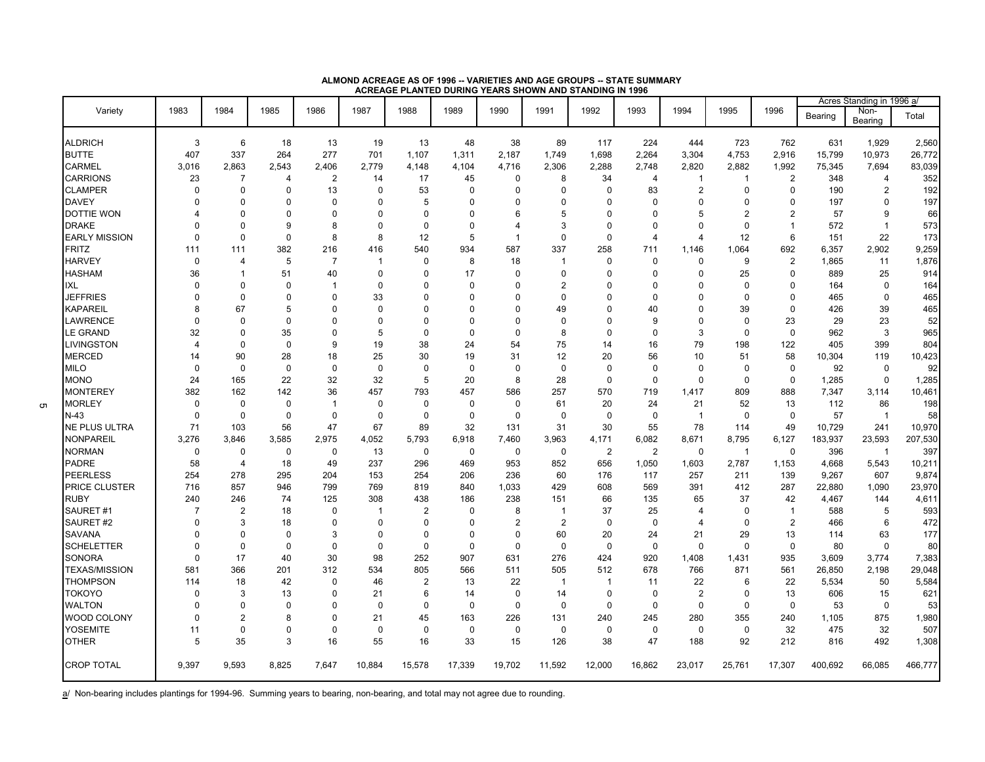|                      |                         |                |                |                |             |                |             |                |                |                |                |                |                |                |         | Acres Standing in 1996 a/ |         |
|----------------------|-------------------------|----------------|----------------|----------------|-------------|----------------|-------------|----------------|----------------|----------------|----------------|----------------|----------------|----------------|---------|---------------------------|---------|
| Variety              | 1983                    | 1984           | 1985           | 1986           | 1987        | 1988           | 1989        | 1990           | 1991           | 1992           | 1993           | 1994           | 1995           | 1996           | Bearing | Non-<br>Bearing           | Total   |
| <b>ALDRICH</b>       | 3                       | 6              | 18             | 13             | 19          | 13             | 48          | 38             | 89             | 117            | 224            | 444            | 723            | 762            | 631     | 1,929                     | 2,560   |
| <b>BUTTE</b>         | 407                     | 337            | 264            | 277            | 701         | 1,107          | 1,311       | 2,187          | 1,749          | 1,698          | 2,264          | 3,304          | 4,753          | 2,916          | 15,799  | 10,973                    | 26,772  |
| <b>CARMEL</b>        | 3.016                   | 2.863          | 2,543          | 2,406          | 2.779       | 4.148          | 4,104       | 4,716          | 2,306          | 2,288          | 2.748          | 2,820          | 2,882          | 1,992          | 75,345  | 7,694                     | 83,039  |
| <b>CARRIONS</b>      | 23                      | $\overline{7}$ | $\overline{4}$ | $\overline{2}$ | 14          | 17             | 45          | $\mathbf 0$    | 8              | 34             | $\overline{4}$ | $\mathbf{1}$   | $\mathbf 1$    | $\overline{2}$ | 348     | $\overline{4}$            | 352     |
| <b>CLAMPER</b>       | $\Omega$                | $\Omega$       | $\mathbf 0$    | 13             | $\Omega$    | 53             | $\mathbf 0$ | $\Omega$       | $\Omega$       | $\mathbf 0$    | 83             | 2              | 0              | $\Omega$       | 190     | $\mathbf{2}$              | 192     |
| <b>DAVEY</b>         | $\Omega$                | $\Omega$       | $\mathbf 0$    | $\Omega$       | $\Omega$    | 5              | $\Omega$    | $\Omega$       | $\mathbf 0$    | $\mathbf 0$    | $\mathbf 0$    | $\Omega$       | $\Omega$       | $\Omega$       | 197     | $\mathbf 0$               | 197     |
| <b>DOTTIE WON</b>    |                         | $\Omega$       | $\Omega$       | $\Omega$       | $\Omega$    | $\Omega$       | $\Omega$    | 6              | 5              | $\Omega$       | $\Omega$       | 5              | $\overline{2}$ | $\overline{2}$ | 57      | 9                         | 66      |
| <b>DRAKE</b>         |                         | $\Omega$       | 9              | 8              | 0           | $\mathbf 0$    | $\Omega$    | 4              | 3              | $\mathbf 0$    | $\Omega$       | $\Omega$       | 0              | $\overline{1}$ | 572     | $\mathbf{1}$              | 573     |
| <b>EARLY MISSION</b> | $\Omega$                | $\mathbf 0$    | $\mathbf 0$    | 8              | 8           | 12             | 5           | $\overline{1}$ | $\mathbf 0$    | $\mathbf 0$    | $\overline{4}$ | 4              | 12             | 6              | 151     | 22                        | 173     |
| <b>FRITZ</b>         | 111                     | 111            | 382            | 216            | 416         | 540            | 934         | 587            | 337            | 258            | 711            | 1,146          | 1,064          | 692            | 6,357   | 2,902                     | 9,259   |
| <b>HARVEY</b>        | $\Omega$                | 4              | 5              | $\overline{7}$ | 1           | $\Omega$       | 8           | 18             | $\mathbf{1}$   | $\pmb{0}$      | $\Omega$       | $\Omega$       | 9              | 2              | 1,865   | 11                        | 1,876   |
| <b>HASHAM</b>        | 36                      | -1             | 51             | 40             | $\Omega$    | $\Omega$       | 17          | $\mathbf 0$    | $\mathbf 0$    | $\mathbf 0$    | $\Omega$       | $\Omega$       | 25             | $\mathbf 0$    | 889     | 25                        | 914     |
| IXL                  | $\Omega$                | $\Omega$       | $\Omega$       | $\overline{1}$ | $\Omega$    | $\Omega$       | $\Omega$    | $\Omega$       | $\overline{2}$ | $\Omega$       | $\Omega$       | $\Omega$       | $\Omega$       | $\Omega$       | 164     | $\mathbf 0$               | 164     |
| <b>JEFFRIES</b>      | $\Omega$                | $\Omega$       | $\Omega$       | $\Omega$       | 33          | $\Omega$       | $\Omega$    | $\Omega$       | $\Omega$       | $\Omega$       | $\Omega$       | $\Omega$       | $\Omega$       | $\Omega$       | 465     | $\mathbf 0$               | 465     |
| <b>KAPAREIL</b>      | 8                       | 67             | 5              | $\Omega$       | $\Omega$    | $\Omega$       | $\Omega$    | $\Omega$       | 49             | $\Omega$       | 40             | $\Omega$       | 39             | $\mathbf 0$    | 426     | 39                        | 465     |
| LAWRENCE             | $\Omega$                | $\Omega$       | $\mathbf 0$    | $\Omega$       | $\Omega$    | $\Omega$       | $\Omega$    | $\Omega$       | $\mathbf 0$    | $\Omega$       | 9              | $\Omega$       | $\Omega$       | 23             | 29      | 23                        | 52      |
| <b>LE GRAND</b>      | 32                      | $\Omega$       | 35             | $\Omega$       | 5           | $\Omega$       | $\Omega$    | $\Omega$       | 8              | $\Omega$       | $\Omega$       | 3              | $\Omega$       | $\Omega$       | 962     | 3                         | 965     |
| <b>LIVINGSTON</b>    | $\overline{\mathbf{A}}$ | $\Omega$       | $\mathbf 0$    | 9              | 19          | 38             | 24          | 54             | 75             | 14             | 16             | 79             | 198            | 122            | 405     | 399                       | 804     |
| <b>MERCED</b>        | 14                      | 90             | 28             | 18             | 25          | 30             | 19          | 31             | 12             | 20             | 56             | 10             | 51             | 58             | 10,304  | 119                       | 10,423  |
| <b>MILO</b>          | $\Omega$                | $\Omega$       | $\Omega$       | $\Omega$       | $\Omega$    | $\Omega$       | $\Omega$    | $\Omega$       | $\mathbf 0$    | $\mathbf 0$    | $\mathbf 0$    | $\Omega$       | $\Omega$       | $\mathbf 0$    | 92      | $\mathbf 0$               | 92      |
| <b>MONO</b>          | 24                      | 165            | 22             | 32             | 32          | 5              | 20          | 8              | 28             | $\mathbf 0$    | $\mathbf 0$    | $\mathbf 0$    | 0              | $\mathbf 0$    | 1,285   | $\mathbf 0$               | 1,285   |
| <b>MONTEREY</b>      | 382                     | 162            | 142            | 36             | 457         | 793            | 457         | 586            | 257            | 570            | 719            | 1,417          | 809            | 888            | 7,347   | 3,114                     | 10,461  |
| <b>MORLEY</b>        | $\Omega$                | $\mathbf 0$    | $\mathbf 0$    | $\mathbf{1}$   | 0           | $\mathbf 0$    | $\mathbf 0$ | $\mathbf 0$    | 61             | 20             | 24             | 21             | 52             | 13             | 112     | 86                        | 198     |
| N-43                 | $\Omega$                | 0              | $\mathbf 0$    | $\Omega$       | 0           | $\mathbf 0$    | $\mathbf 0$ | 0              | $\mathbf 0$    | 0              | $\mathbf 0$    | $\overline{1}$ | $\Omega$       | $\mathbf 0$    | 57      | $\overline{1}$            | 58      |
| NE PLUS ULTRA        | 71                      | 103            | 56             | 47             | 67          | 89             | 32          | 131            | 31             | 30             | 55             | 78             | 114            | 49             | 10,729  | 241                       | 10,970  |
| <b>NONPAREIL</b>     | 3,276                   | 3,846          | 3,585          | 2,975          | 4,052       | 5,793          | 6,918       | 7,460          | 3,963          | 4,171          | 6,082          | 8,671          | 8,795          | 6,127          | 183,937 | 23,593                    | 207,530 |
| <b>NORMAN</b>        | 0                       | 0              | $\mathbf 0$    | 0              | 13          | $\mathbf 0$    | $\mathbf 0$ | $\mathbf 0$    | $\mathbf 0$    | $\overline{2}$ | 2              | $\mathbf 0$    | $\mathbf{1}$   | $\mathbf 0$    | 396     | $\overline{1}$            | 397     |
| <b>PADRE</b>         | 58                      | $\overline{4}$ | 18             | 49             | 237         | 296            | 469         | 953            | 852            | 656            | 1,050          | 1,603          | 2,787          | 1,153          | 4,668   | 5,543                     | 10,211  |
| <b>PEERLESS</b>      | 254                     | 278            | 295            | 204            | 153         | 254            | 206         | 236            | 60             | 176            | 117            | 257            | 211            | 139            | 9,267   | 607                       | 9,874   |
| <b>PRICE CLUSTER</b> | 716                     | 857            | 946            | 799            | 769         | 819            | 840         | 1.033          | 429            | 608            | 569            | 391            | 412            | 287            | 22,880  | 1,090                     | 23,970  |
| <b>RUBY</b>          | 240                     | 246            | 74             | 125            | 308         | 438            | 186         | 238            | 151            | 66             | 135            | 65             | 37             | 42             | 4,467   | 144                       | 4,611   |
| SAURET#1             | $\overline{7}$          | 2              | 18             | $\mathbf 0$    | 1           | $\overline{2}$ | $\mathbf 0$ | 8              | $\overline{1}$ | 37             | 25             | 4              | $\mathbf 0$    | $\overline{1}$ | 588     | 5                         | 593     |
| SAURET#2             | $\Omega$                | 3              | 18             | $\Omega$       | 0           | $\mathbf 0$    | $\mathbf 0$ | $\overline{2}$ | $\overline{2}$ | $\mathbf 0$    | $\mathbf 0$    | 4              | $\Omega$       | $\overline{2}$ | 466     | 6                         | 472     |
| SAVANA               | $\Omega$                | $\Omega$       | $\mathbf 0$    | 3              | 0           | $\mathbf 0$    | $\Omega$    | $\mathbf 0$    | 60             | 20             | 24             | 21             | 29             | 13             | 114     | 63                        | 177     |
| <b>SCHELETTER</b>    | $\Omega$                | $\mathbf 0$    | $\mathbf 0$    | $\mathbf 0$    | 0           | $\mathbf 0$    | $\mathbf 0$ | $\mathbf 0$    | $\mathbf 0$    | $\mathbf 0$    | $\mathbf 0$    | $\mathbf 0$    | $\mathbf 0$    | $\mathbf 0$    | 80      | $\mathbf 0$               | 80      |
| <b>SONORA</b>        | $\Omega$                | 17             | 40             | 30             | 98          | 252            | 907         | 631            | 276            | 424            | 920            | 1.408          | 1,431          | 935            | 3,609   | 3,774                     | 7,383   |
| <b>TEXAS/MISSION</b> | 581                     | 366            | 201            | 312            | 534         | 805            | 566         | 511            | 505            | 512            | 678            | 766            | 871            | 561            | 26,850  | 2,198                     | 29,048  |
| <b>THOMPSON</b>      | 114                     | 18             | 42             | $\Omega$       | 46          | $\overline{2}$ | 13          | 22             | $\overline{1}$ | $\mathbf{1}$   | 11             | 22             | 6              | 22             | 5,534   | 50                        | 5,584   |
| <b>TOKOYO</b>        | $\Omega$                | 3              | 13             | $\Omega$       | 21          | 6              | 14          | $\mathbf 0$    | 14             | $\mathbf 0$    | $\mathbf 0$    | $\overline{2}$ | $\Omega$       | 13             | 606     | 15                        | 621     |
| <b>WALTON</b>        | $\Omega$                | $\Omega$       | $\Omega$       | $\Omega$       | 0           | $\mathbf 0$    | $\Omega$    | $\Omega$       | $\mathbf 0$    | $\mathbf 0$    | $\mathbf 0$    | $\mathbf 0$    | $\Omega$       | $\mathbf 0$    | 53      | $\mathbf 0$               | 53      |
| WOOD COLONY          | $\Omega$                | $\overline{2}$ | 8              | $\Omega$       | 21          | 45             | 163         | 226            | 131            | 240            | 245            | 280            | 355            | 240            | 1,105   | 875                       | 1,980   |
| <b>YOSEMITE</b>      | 11                      | $\mathbf 0$    | $\mathbf 0$    | $\Omega$       | $\mathbf 0$ | $\mathbf 0$    | $\mathbf 0$ | $\mathbf 0$    | $\pmb{0}$      | $\pmb{0}$      | $\mathsf 0$    | $\pmb{0}$      | $\mathbf 0$    | 32             | 475     | 32                        | 507     |
| <b>OTHER</b>         | 5                       | 35             | 3              | 16             | 55          | 16             | 33          | 15             | 126            | 38             | 47             | 188            | 92             | 212            | 816     | 492                       | 1,308   |
| <b>CROP TOTAL</b>    | 9,397                   | 9,593          | 8,825          | 7,647          | 10,884      | 15,578         | 17,339      | 19,702         | 11,592         | 12,000         | 16,862         | 23,017         | 25,761         | 17,307         | 400,692 | 66,085                    | 466,777 |

#### **ALMOND ACREAGE AS OF 1996 -- VARIETIES AND AGE GROUPS -- STATE SUMMARY ACREAGE PLANTED DURING YEARS SHOWN AND STANDING IN 1996**

a<sup>/</sup> Non-bearing includes plantings for 1994-96. Summing years to bearing, non-bearing, and total may not agree due to rounding.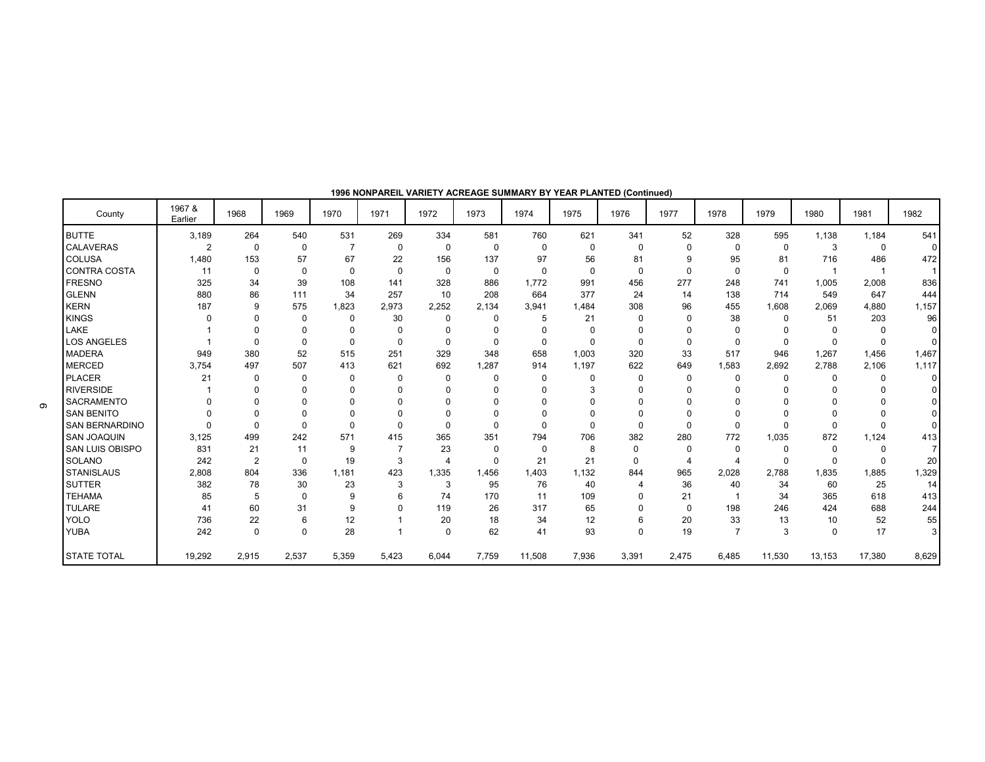| County                 | 1967 &<br>Earlier | 1968           | 1969        | 1970           | 1971           | 1972           | 1973     | 1974         | 1975     | 1976     | 1977     | 1978           | 1979         | 1980     | 1981        | 1982         |
|------------------------|-------------------|----------------|-------------|----------------|----------------|----------------|----------|--------------|----------|----------|----------|----------------|--------------|----------|-------------|--------------|
| <b>BUTTE</b>           | 3,189             | 264            | 540         | 531            | 269            | 334            | 581      | 760          | 621      | 341      | 52       | 328            | 595          | 1.138    | 1,184       | 541          |
| <b>CALAVERAS</b>       | $\overline{2}$    | $\mathbf 0$    | $\mathbf 0$ | $\overline{7}$ | $\mathbf 0$    | $\mathbf 0$    | $\Omega$ | $\mathbf 0$  | $\Omega$ | $\Omega$ | $\Omega$ | 0              | $\mathbf 0$  | 3        | $\mathbf 0$ | $\Omega$     |
| <b>COLUSA</b>          | 1,480             | 153            | 57          | 67             | 22             | 156            | 137      | 97           | 56       | 81       | 9        | 95             | 81           | 716      | 486         | 472          |
| <b>CONTRA COSTA</b>    | 11                | 0              | $\mathbf 0$ | $\mathbf 0$    | $\Omega$       | $\Omega$       | 0        | $\mathbf{0}$ | $\Omega$ | $\Omega$ | $\Omega$ | 0              | 0            |          |             | $\mathbf{1}$ |
| <b>FRESNO</b>          | 325               | 34             | 39          | 108            | 141            | 328            | 886      | 1.772        | 991      | 456      | 277      | 248            | 741          | 1,005    | 2,008       | 836          |
| <b>GLENN</b>           | 880               | 86             | 111         | 34             | 257            | 10             | 208      | 664          | 377      | 24       | 14       | 138            | 714          | 549      | 647         | 444          |
| <b>KERN</b>            | 187               | 9              | 575         | 1,823          | 2,973          | 2,252          | 2,134    | 3,941        | 1,484    | 308      | 96       | 455            | 1.608        | 2,069    | 4.880       | 1,157        |
| <b>KINGS</b>           | $\Omega$          | $\Omega$       | $\mathbf 0$ | 0              | 30             | $\Omega$       | $\Omega$ | 5            | 21       | n        |          | 38             | 0            | 51       | 203         | 96           |
| LAKE                   |                   | $\Omega$       | 0           | $\Omega$       | $\Omega$       | $\Omega$       | 0        | 0            | $\Omega$ |          |          | 0              | $\Omega$     | $\Omega$ | $\Omega$    | $\Omega$     |
| <b>LOS ANGELES</b>     |                   | $\Omega$       | 0           | $\Omega$       | $\Omega$       | $\Omega$       | 0        | $\mathbf{0}$ | $\Omega$ | $\Omega$ | $\Omega$ | 0              | $\Omega$     | $\Omega$ | $\Omega$    | $\Omega$     |
| <b>MADERA</b>          | 949               | 380            | 52          | 515            | 251            | 329            | 348      | 658          | 1.003    | 320      | 33       | 517            | 946          | 1.267    | 1.456       | 1,467        |
| <b>MERCED</b>          | 3.754             | 497            | 507         | 413            | 621            | 692            | 1.287    | 914          | 1,197    | 622      | 649      | 1.583          | 2.692        | 2.788    | 2.106       | 1,117        |
| <b>PLACER</b>          | 21                | $\Omega$       | 0           | 0              | $\Omega$       | $\Omega$       | 0        | $\mathbf{0}$ | n        | n        | $\Omega$ | 0              | 0            | 0        | $\Omega$    | $\Omega$     |
| <b>RIVERSIDE</b>       |                   | $\Omega$       | $\Omega$    | 0              | 0              |                | 0        | $\Omega$     |          |          |          |                |              |          |             |              |
| <b>SACRAMENTO</b>      | <sup>0</sup>      | $\Omega$       | $\Omega$    | $\Omega$       | $\Omega$       | ŋ              | $\Omega$ | $\Omega$     |          |          |          | n              | <sup>0</sup> |          | $\Omega$    |              |
| <b>SAN BENITO</b>      | $\Omega$          | $\Omega$       | $\Omega$    | $\Omega$       | $\Omega$       |                | $\Omega$ | $\Omega$     |          |          |          |                |              |          | $\Omega$    | $\Omega$     |
| <b>SAN BERNARDINO</b>  | $\Omega$          | $\Omega$       | $\mathbf 0$ | $\Omega$       | $\Omega$       |                | $\Omega$ | $\Omega$     | $\Omega$ | $\Omega$ | $\Omega$ | O              | $\Omega$     | $\Omega$ | $\Omega$    | $\Omega$     |
| <b>SAN JOAQUIN</b>     | 3,125             | 499            | 242         | 571            | 415            | 365            | 351      | 794          | 706      | 382      | 280      | 772            | 1.035        | 872      | 1,124       | 413          |
| <b>SAN LUIS OBISPO</b> | 831               | 21             | 11          | 9              | $\overline{7}$ | 23             | 0        | $\Omega$     | 8        | $\Omega$ |          | $\Omega$       | $\Omega$     | 0        | $\Omega$    |              |
| <b>SOLANO</b>          | 242               | $\overline{2}$ | $\mathbf 0$ | 19             | 3              | $\overline{4}$ | 0        | 21           | 21       | $\Omega$ | 4        | 4              | 0            | $\Omega$ | $\Omega$    | 20           |
| <b>STANISLAUS</b>      | 2,808             | 804            | 336         | 1,181          | 423            | 1,335          | 1,456    | 1,403        | 1,132    | 844      | 965      | 2,028          | 2.788        | 1.835    | 1.885       | 1,329        |
| <b>SUTTER</b>          | 382               | 78             | 30          | 23             | 3              | 3              | 95       | 76           | 40       | 4        | 36       | 40             | 34           | 60       | 25          | 14           |
| <b>TEHAMA</b>          | 85                | 5              | $\mathbf 0$ | 9              | 6              | 74             | 170      | 11           | 109      |          | 21       |                | 34           | 365      | 618         | 413          |
| <b>TULARE</b>          | 41                | 60             | 31          | 9              | $\Omega$       | 119            | 26       | 317          | 65       |          | $\Omega$ | 198            | 246          | 424      | 688         | 244          |
| <b>YOLO</b>            | 736               | 22             | 6           | 12             |                | 20             | 18       | 34           | 12       | 6        | 20       | 33             | 13           | 10       | 52          | 55           |
| <b>YUBA</b>            | 242               | $\mathbf 0$    | $\mathbf 0$ | 28             |                | $\Omega$       | 62       | 41           | 93       | $\Omega$ | 19       | $\overline{7}$ | 3            | $\Omega$ | 17          | 3            |
| <b>STATE TOTAL</b>     | 19,292            | 2,915          | 2,537       | 5,359          | 5,423          | 6.044          | 7,759    | 11,508       | 7,936    | 3,391    | 2,475    | 6,485          | 11,530       | 13,153   | 17,380      | 8,629        |

**1996 NONPAREIL VARIETY ACREAGE SUMMARY BY YEAR PLANTED (Continued)**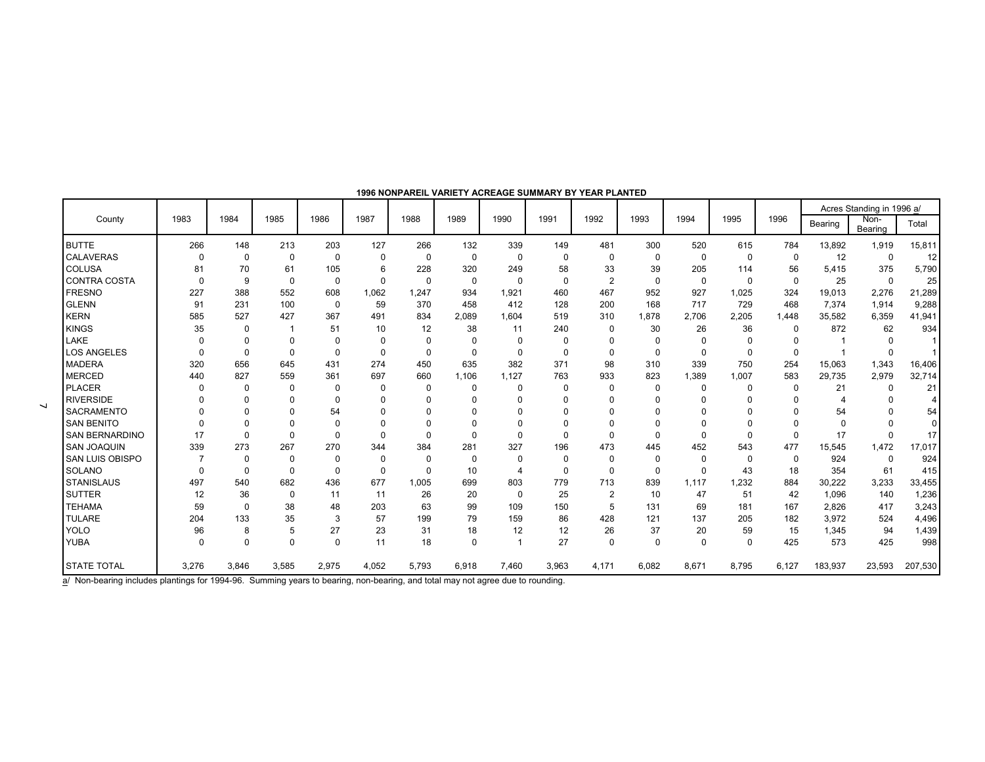|                        |          |              |          |             |          |             |          |                |          |                |             |             |          |             |                | Acres Standing in 1996 a/ |             |
|------------------------|----------|--------------|----------|-------------|----------|-------------|----------|----------------|----------|----------------|-------------|-------------|----------|-------------|----------------|---------------------------|-------------|
| County                 | 1983     | 1984         | 1985     | 1986        | 1987     | 1988        | 1989     | 1990           | 1991     | 1992           | 1993        | 1994        | 1995     | 1996        | Bearing        | Non-<br>Bearing           | Total       |
| <b>BUTTE</b>           | 266      | 148          | 213      | 203         | 127      | 266         | 132      | 339            | 149      | 481            | 300         | 520         | 615      | 784         | 13,892         | 1,919                     | 15,811      |
| <b>CALAVERAS</b>       | $\Omega$ | $\mathbf 0$  | 0        | 0           | $\Omega$ | 0           | 0        | 0              | 0        | $\mathbf 0$    | 0           | 0           | 0        | 0           | 12             | 0                         | 12          |
| <b>COLUSA</b>          | 81       | 70           | 61       | 105         | 6        | 228         | 320      | 249            | 58       | 33             | 39          | 205         | 114      | 56          | 5,415          | 375                       | 5,790       |
| <b>CONTRA COSTA</b>    | $\Omega$ | $\mathbf{Q}$ | $\Omega$ | $\Omega$    | $\Omega$ | $\Omega$    | 0        | $\Omega$       | $\Omega$ | $\overline{2}$ | $\mathbf 0$ | $\mathbf 0$ | 0        | $\mathbf 0$ | 25             | $\mathbf 0$               | 25          |
| <b>FRESNO</b>          | 227      | 388          | 552      | 608         | 1.062    | 1,247       | 934      | 1.921          | 460      | 467            | 952         | 927         | 1,025    | 324         | 19,013         | 2,276                     | 21,289      |
| <b>GLENN</b>           | 91       | 231          | 100      | $\mathbf 0$ | 59       | 370         | 458      | 412            | 128      | 200            | 168         | 717         | 729      | 468         | 7,374          | 1,914                     | 9,288       |
| <b>KERN</b>            | 585      | 527          | 427      | 367         | 491      | 834         | 2,089    | 1,604          | 519      | 310            | 1,878       | 2,706       | 2,205    | 1.448       | 35,582         | 6,359                     | 41,941      |
| <b>KINGS</b>           | 35       | 0            |          | 51          | 10       | 12          | 38       | 11             | 240      | $\mathbf 0$    | 30          | 26          | 36       | 0           | 872            | 62                        | 934         |
| LAKE                   | $\Omega$ | $\Omega$     | 0        | $\Omega$    | $\Omega$ | $\mathbf 0$ | 0        | $\mathbf 0$    | $\Omega$ | 0              | $\mathbf 0$ | $\mathbf 0$ | 0        | 0           |                | 0                         |             |
| <b>LOS ANGELES</b>     | $\Omega$ | $\Omega$     | $\Omega$ | $\Omega$    | $\Omega$ | $\Omega$    | $\Omega$ | $\Omega$       | $\Omega$ | $\Omega$       | $\Omega$    | $\mathbf 0$ | $\Omega$ | $\mathbf 0$ |                | $\mathbf{0}$              |             |
| <b>MADERA</b>          | 320      | 656          | 645      | 431         | 274      | 450         | 635      | 382            | 371      | 98             | 310         | 339         | 750      | 254         | 15,063         | 1,343                     | 16,406      |
| <b>MERCED</b>          | 440      | 827          | 559      | 361         | 697      | 660         | 1.106    | 1,127          | 763      | 933            | 823         | 1,389       | 1,007    | 583         | 29,735         | 2,979                     | 32,714      |
| <b>PLACER</b>          | $\Omega$ | $\Omega$     | $\Omega$ | $\Omega$    | $\Omega$ | $\Omega$    | $\Omega$ | $\Omega$       | $\Omega$ | $\Omega$       | $\Omega$    | 0           | $\Omega$ | $\mathbf 0$ | 21             | 0                         | 21          |
| <b>RIVERSIDE</b>       |          | 0            | $\Omega$ | $\Omega$    | $\Omega$ | $\Omega$    | $\Omega$ | 0              | $\Omega$ | $\Omega$       | 0           | $\Omega$    | $\Omega$ | $\Omega$    | $\overline{4}$ | 0                         |             |
| <b>SACRAMENTO</b>      |          | $\Omega$     | 0        | 54          | $\Omega$ | $\Omega$    | $\Omega$ | 0              | $\Omega$ |                | 0           | $\Omega$    |          | 0           | 54             | 0                         | 54          |
| <b>SAN BENITO</b>      |          | $\Omega$     | $\Omega$ | $\Omega$    | $\Omega$ | $\Omega$    | $\Omega$ | $\Omega$       | $\Omega$ | $\Omega$       | $\Omega$    | $\Omega$    |          | $\Omega$    | $\mathbf 0$    | $\Omega$                  | $\mathbf 0$ |
| <b>SAN BERNARDINO</b>  | 17       | $\Omega$     | $\Omega$ | $\Omega$    | $\Omega$ | $\Omega$    | $\Omega$ | $\Omega$       | $\Omega$ | $\Omega$       | $\Omega$    | $\Omega$    | 0        | $\Omega$    | 17             | $\Omega$                  | 17          |
| <b>SAN JOAQUIN</b>     | 339      | 273          | 267      | 270         | 344      | 384         | 281      | 327            | 196      | 473            | 445         | 452         | 543      | 477         | 15,545         | 1,472                     | 17,017      |
| <b>SAN LUIS OBISPO</b> |          | $\Omega$     | $\Omega$ | $\Omega$    | $\Omega$ | $\Omega$    | $\Omega$ | 0              | $\Omega$ | $\Omega$       | $\mathbf 0$ | $\mathbf 0$ | 0        | $\mathbf 0$ | 924            | 0                         | 924         |
| <b>SOLANO</b>          |          | $\Omega$     | $\Omega$ | $\Omega$    | $\Omega$ | $\Omega$    | 10       | $\overline{4}$ | $\Omega$ | $\Omega$       | $\mathbf 0$ | $\Omega$    | 43       | 18          | 354            | 61                        | 415         |
| <b>STANISLAUS</b>      | 497      | 540          | 682      | 436         | 677      | 1,005       | 699      | 803            | 779      | 713            | 839         | 1,117       | 1,232    | 884         | 30,222         | 3,233                     | 33,455      |
| <b>SUTTER</b>          | 12       | 36           | $\Omega$ | 11          | 11       | 26          | 20       | $\Omega$       | 25       | $\overline{2}$ | 10          | 47          | 51       | 42          | 1,096          | 140                       | 1,236       |
| <b>TEHAMA</b>          | 59       | $\Omega$     | 38       | 48          | 203      | 63          | 99       | 109            | 150      | 5              | 131         | 69          | 181      | 167         | 2,826          | 417                       | 3,243       |
| <b>TULARE</b>          | 204      | 133          | 35       | 3           | 57       | 199         | 79       | 159            | 86       | 428            | 121         | 137         | 205      | 182         | 3,972          | 524                       | 4,496       |
| <b>YOLO</b>            | 96       | 8            | 5        | 27          | 23       | 31          | 18       | 12             | 12       | 26             | 37          | 20          | 59       | 15          | 1,345          | 94                        | 1,439       |
| <b>YUBA</b>            | $\Omega$ | $\Omega$     | $\Omega$ | $\Omega$    | 11       | 18          | $\Omega$ |                | 27       | $\Omega$       | $\mathbf 0$ | $\Omega$    | $\Omega$ | 425         | 573            | 425                       | 998         |
| <b>STATE TOTAL</b>     | 3,276    | 3,846        | 3,585    | 2,975       | 4,052    | 5,793       | 6,918    | 7,460          | 3,963    | 4,171          | 6,082       | 8,671       | 8,795    | 6,127       | 183,937        | 23,593                    | 207,530     |

#### **1996 NONPAREIL VARIETY ACREAGE SUMMARY BY YEAR PLANTED**

a<sup>/</sup> Non-bearing includes plantings for 1994-96. Summing years to bearing, non-bearing, and total may not agree due to rounding.